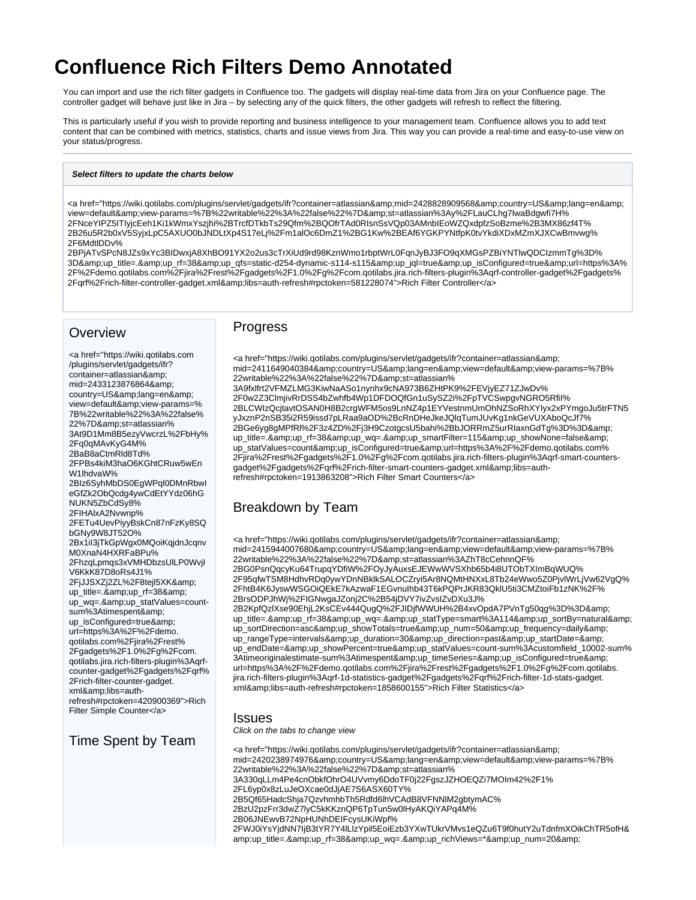# **Confluence Rich Filters Demo Annotated**

You can import and use the rich filter gadgets in Confluence too. The gadgets will display real-time data from Jira on your Confluence page. The controller gadget will behave just like in Jira – by selecting any of the quick filters, the other gadgets will refresh to reflect the filtering.

This is particularly useful if you wish to provide reporting and business intelligence to your management team. Confluence allows you to add text content that can be combined with metrics, statistics, charts and issue views from Jira. This way you can provide a real-time and easy-to-use view on your status/progress.

#### **Select filters to update the charts below**

<a href="https://wiki.qotilabs.com/plugins/servlet/gadgets/ifr?container=atlassian&amp;mid=2428828909568&amp;country=US&amp;lang=en&amp; view=default&view-params=%7B%22writable%22%3A%22false%22%7D&st=atlassian%3Ay%2FLauCLhg7lwaBdgwfi7H% 2FNceYIPZ5ITIyjcEeh1Ki1kWmxYszjhi%2BTrcfDTkbTs29Qfm%2BQOfrTAd0RIsnSsVQp03AMnbIEoWZQxdpfzSoBzme%2B3MX86zf4T% 2B26u5R2b0xV5SyjxLpC5AXUO0bJNDLtXp4S17eLj%2Fm1alOc6DmZ1%2BG1Kw%2BEAf6YGKPYNtfpK0tvYkdiXDxMZmXJXCwBmvwg% 2F6MdtlDDv%

2BPjATvSPcN8JZs9xYc3BIDwxjA8XhBO91YX2o2us3cTrXiUd9rd98KznWmo1rbptWrL0FqnJyBJ3FO9qXMGsPZBiYNTlwQDCIzmmTg%3D% 3D&up\_title=.&up\_rf=38&up\_qfs=static-d254-dynamic-s114-s115&up\_jql=true&up\_isConfigured=true&url=https%3A% 2F%2Fdemo.qotilabs.com%2Fjira%2Frest%2Fgadgets%2F1.0%2Fg%2Fcom.qotilabs.jira.rich-filters-plugin%3Aqrf-controller-gadget%2Fgadgets% 2Fqrf%2Frich-filter-controller-gadget.xml&amp;libs=auth-refresh#rpctoken=581228074">Rich Filter Controller</a>

### **Overview**

<a href="https://wiki.qotilabs.com /plugins/servlet/gadgets/ifr? container=atlassian& mid=2433123876864& country=US&lang=en& view=default&view-params=% 7B%22writable%22%3A%22false% 22%7D&st=atlassian% 3At9D1Mm8B5ezyVwcrzL%2FbHy% 2Fq0qMAvKyG4M% 2BaB8aCtmRld8Td% 2FPBs4kiM3haO6KGhtCRuw5wEn W1lhdvaW% 2BIz6SyhMbDS0EgWPql0DMnRbwI eGfZk2ObQcdg4ywCdEtYYdz06hG NUKN5ZbCdSy8% 2FIHAlxA2Nvwnp% 2FETu4UevPiyyBskCn87nFzKy8SQ bGNy9W8JT52O% 2Bx1iI3jTkGpWgx0MQoiKqjdnJcqnv M0XnaN4HXRFaBPu% 2FhzqLpmqs3xVMHDbzsUlLP0WvjI V6KkK87D8oRs4J1% 2FjJJSXZj2ZL%2F8tejl5XK& up\_title=.&up\_rf=38& up\_wq=.&up\_statValues=countsum%3Atimespent& up\_isConfigured=true& url=https%3A%2F%2Fdemo. qotilabs.com%2Fjira%2Frest% 2Fgadgets%2F1.0%2Fg%2Fcom. qotilabs.jira.rich-filters-plugin%3Aqrfcounter-gadget%2Fgadgets%2Fqrf% 2Frich-filter-counter-gadget. xml&amp:libs=authrefresh#rpctoken=420900369">Rich Filter Simple Counter</a>

Time Spent by Team

#### Progress

<a href="https://wiki.qotilabs.com/plugins/servlet/gadgets/ifr?container=atlassian&amp; mid=2411649040384&country=US&lang=en&view=default&view-params=%7B% 22writable%22%3A%22false%22%7D&st=atlassian% 3A9fxlfrt2VFMZLMG3KiwNaASo1nynhx9cNA973B6ZHtPK9%2FEVjyEZ71ZJwDv% 2F0w2Z3ClmjivRrDSS4bZwhfb4Wp1DFDOQfGn1uSySZ2i%2FpTVCSwpgvNGRO5RfiI% 2BLCWIzQcjtavtOSAN0H8B2crgWFM5os9LnNZ4p1EYVestnmUmOhNZSoRhXYIyx2xPYmgoJu5trFTN5 yJxznP2nSB35i2R59issd7pLRaa9aOD%2BcRnDHeJkeJQlqTumJUvKg1nkGeVUXAboQcJf7% 2BGe6yg8gMPfRl%2F3z4ZD%2Fj3H9CzotgcsU5bahi%2BbJORRmZ5urRIaxnGdTg%3D%3D& up\_title=.&up\_rf=38&up\_wq=.&up\_smartFilter=115&up\_showNone=false& up\_statValues=count&up\_isConfigured=true&url=https%3A%2F%2Fdemo.qotilabs.com% 2Fjira%2Frest%2Fgadgets%2F1.0%2Fg%2Fcom.qotilabs.jira.rich-filters-plugin%3Aqrf-smart-countersgadget%2Fgadgets%2Fqrf%2Frich-filter-smart-counters-gadget.xml&libs=authrefresh#rpctoken=1913863208">Rich Filter Smart Counters</a>

# Breakdown by Team

<a href="https://wiki.qotilabs.com/plugins/servlet/gadgets/ifr?container=atlassian&amp; mid=2415944007680&country=US&lang=en&view=default&view-params=%7B% 22writable%22%3A%22false%22%7D&st=atlassian%3AZhT8cCehnnQF% 2BG0PsnQqcyKu64TrupqYDfiW%2FOyJyAuxsEJEWwWVSXhb65b4i8UTObTXImBqWUQ% 2F95qfwTSM8HdhvRDq0ywYDnNBklkSALOCZryi5Ar8NQMtHNXxL8Tb24eWwo5Z0PjvlWrLjVw62VgQ% 2FhtB4K6JyswWSGOiQEkE7kAzwaF1EGvnuIhb43T6kPQPrJKR83QklU5ti3CMZtoiFb1zNK%2F% 2BrsODPJhWj%2FIGNwgaJZonj2C%2B54jDVY7ivZvsIZvDXu3J% 2B2KpfQzlXse90EhjL2KsCEv444QugQ%2FJIDjfWWUH%2B4xvOpdA7PVnTg50qg%3D%3D& up\_title=.&amp:up\_rf=38&amp:up\_wq=.&amp:up\_statType=smart%3A114&amp:up\_sortBy=natural& up\_sortDirection=asc&up\_showTotals=true&up\_num=50&up\_frequency=daily& up\_rangeType=intervals&up\_duration=30&up\_direction=past&up\_startDate=& up\_endDate=&up\_showPercent=true&up\_statValues=count-sum%3Acustomfield\_10002-sum% 3Atimeoriginalestimate-sum%3Atimespent&up\_timeSeries=&up\_isConfigured=true& url=https%3A%2F%2Fdemo.qotilabs.com%2Fjira%2Frest%2Fgadgets%2F1.0%2Fg%2Fcom.qotilabs. jira.rich-filters-plugin%3Aqrf-1d-statistics-gadget%2Fgadgets%2Fqrf%2Frich-filter-1d-stats-gadget. xml&amp;libs=auth-refresh#rpctoken=1858600155">Rich Filter Statistics</a>

#### Issues

Click on the tabs to change view

<a href="https://wiki.qotilabs.com/plugins/servlet/gadgets/ifr?container=atlassian&amp; mid=2420238974976&country=US&lang=en&view=default&view-params=%7B% 22writable%22%3A%22false%22%7D&st=atlassian% 3A330qLLm4Pe4cnObkfOhrO4UVvmy6DdoTF0j22FgszJZHOEQZi7MOIm42%2F1% 2FL6yp0x8zLuJeOXcae0dJjAE7S6ASX60TY% 2B5Qf65HadcShja7QzvhmhbTh5Rdfd6lhVCAdB8VFNNlM2gbtymAC% 2BzU2pzFrr3dwZ7lyC5kKKznQP6TpTun5w0lHyAKQiYAPq4M% 2B06JNEwvB72NpHUNhDEIFcysUKiWpf% 2FWJ0iYsYjdNN7IjB3tYR7Y4lLlzYpil5EoiEzb3YXwTUkrVMvs1eQZu6T9f0hutY2uTdnfmXOikChTR5ofH& amp;up\_title=.&up\_rf=38&up\_wq=.&up\_richViews=\*&up\_num=20&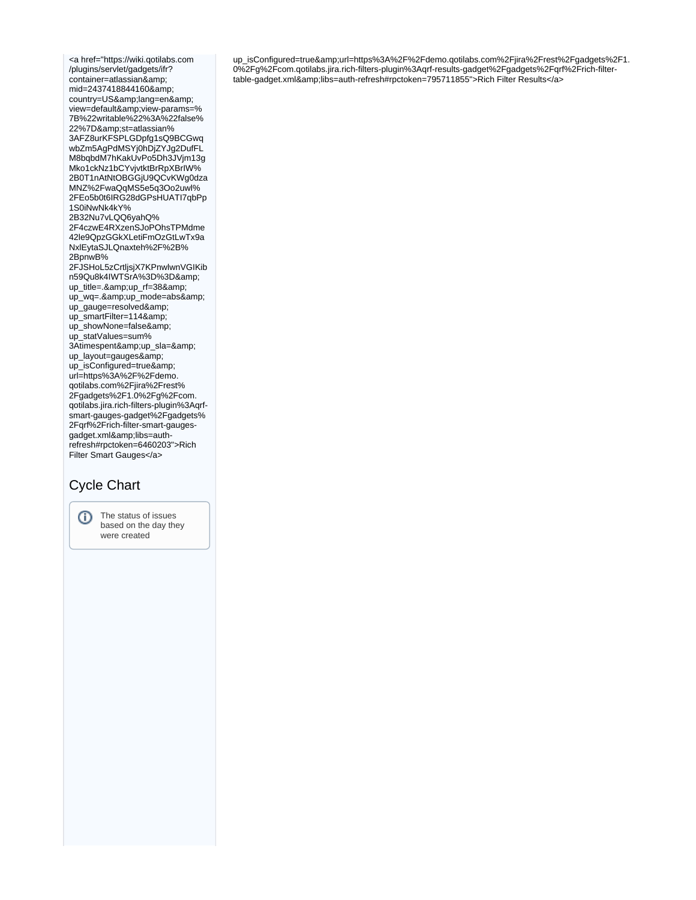<a href="https://wiki.qotilabs.com /plugins/servlet/gadgets/ifr? container=atlassian& mid=2437418844160& country=US&lang=en& view=default&view-params=% 7B%22writable%22%3A%22false% 22%7D&st=atlassian% 3AFZ8urKFSPLGDpfg1sQ9BCGwq wbZm5AgPdMSYj0hDjZYJg2DufFL M8bqbdM7hKakUvPo5Dh3JVjm13g Mko1ckNz1bCYvjvtktBrRpXBrIW% 2B0T1nAtNtOBGGjU9QCvKWg0dza MNZ%2FwaQqMS5e5q3Oo2uwl% 2FEo5b0t6IRG28dGPsHUATI7qbPp 1S0iNwNk4kY% 2B32Nu7vLQQ6yahQ% 2F4czwE4RXzenSJoPOhsTPMdme 42le9QpzGGkXLetiFmOzGtLwTx9a NxlEytaSJLQnaxteh%2F%2B% 2BpnwB% 2FJSHoL5zCrtljsjX7KPnwlwnVGIKib n59Qu8k4IWTSrA%3D%3D& up\_title=.&up\_rf=38& up\_wq=.&up\_mode=abs& up\_gauge=resolved& up\_smartFilter=114& up\_showNone=false& up\_statValues=sum% 3Atimespent&up\_sla=& up\_layout=gauges& up\_isConfigured=true& url=https%3A%2F%2Fdemo. qotilabs.com%2Fjira%2Frest% 2Fgadgets%2F1.0%2Fg%2Fcom. qotilabs.jira.rich-filters-plugin%3Aqrfsmart-gauges-gadget%2Fgadgets% 2Fqrf%2Frich-filter-smart-gaugesgadget.xml&libs=authrefresh#rpctoken=6460203">Rich Filter Smart Gauges</a>

# Cycle Chart



up\_isConfigured=true&url=https%3A%2F%2Fdemo.qotilabs.com%2Fjira%2Frest%2Fgadgets%2F1. 0%2Fg%2Fcom.qotilabs.jira.rich-filters-plugin%3Aqrf-results-gadget%2Fgadgets%2Fqrf%2Frich-filtertable-gadget.xml&libs=auth-refresh#rpctoken=795711855">Rich Filter Results</a>